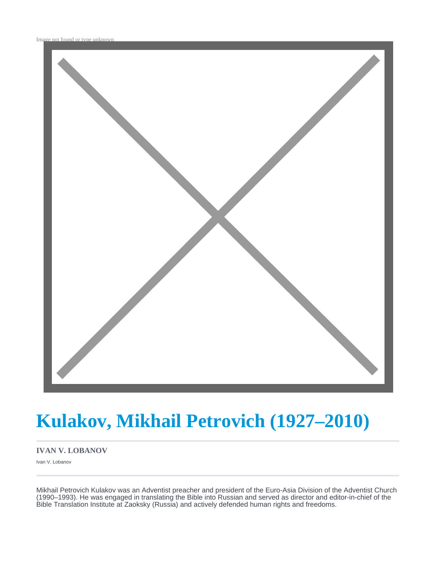

# **Kulakov, Mikhail Petrovich (1927–2010)**

#### **IVAN V. LOBANOV**

Ivan V. Lobanov

Mikhail Petrovich Kulakov was an Adventist preacher and president of the Euro-Asia Division of the Adventist Church (1990–1993). He was engaged in translating the Bible into Russian and served as director and editor-in-chief of the Bible Translation Institute at Zaoksky (Russia) and actively defended human rights and freedoms.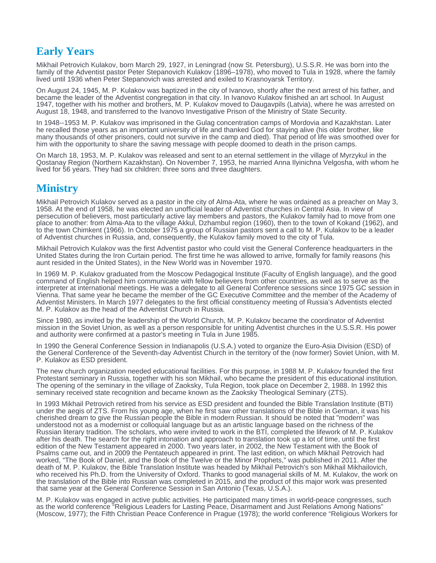## **Early Years**

Mikhail Petrovich Kulakov, born March 29, 1927, in Leningrad (now St. Petersburg), U.S.S.R. He was born into the family of the Adventist pastor Peter Stepanovich Kulakov (1896–1978), who moved to Tula in 1928, where the family lived until 1936 when Peter Stepanovich was arrested and exiled to Krasnoyarsk Territory.

On August 24, 1945, M. P. Kulakov was baptized in the city of Ivanovo, shortly after the next arrest of his father, and became the leader of the Adventist congregation in that city. In Ivanovo Kulakov finished an art school. In August 1947, together with his mother and brothers, M. P. Kulakov moved to Daugavpils (Latvia), where he was arrested on August 18, 1948, and transferred to the Ivanovo Investigative Prison of the Ministry of State Security.

In 1948--1953 M. P. Kulakov was imprisoned in the Gulag concentration camps of Mordovia and Kazakhstan. Later he recalled those years as an important university of life and thanked God for staying alive (his older brother, like many thousands of other prisoners, could not survive in the camp and died). That period of life was smoothed over for him with the opportunity to share the saving message with people doomed to death in the prison camps.

On March 18, 1953, M. P. Kulakov was released and sent to an eternal settlement in the village of Myrzykul in the Qostanay Region (Northern Kazakhstan). On November 7, 1953, he married Anna Ilyinichna Velgosha, with whom he lived for 56 years. They had six children: three sons and three daughters.

### **Ministry**

Mikhail Petrovich Kulakov served as a pastor in the city of Alma-Ata, where he was ordained as a preacher on May 3, 1958. At the end of 1958, he was elected an unofficial leader of Adventist churches in Central Asia. In view of persecution of believers, most particularly active lay members and pastors, the Kulakov family had to move from one place to another: from Alma-Ata to the village Akkul, Dzhambul region (1960), then to the town of Kokand (1962), and to the town Chimkent (1966). In October 1975 a group of Russian pastors sent a call to M. P. Kulakov to be a leader of Adventist churches in Russia, and, consequently, the Kulakov family moved to the city of Tula.

Mikhail Petrovich Kulakov was the first Adventist pastor who could visit the General Conference headquarters in the United States during the Iron Curtain period. The first time he was allowed to arrive, formally for family reasons (his aunt resided in the United States), in the New World was in November 1970.

In 1969 M. P. Kulakov graduated from the Moscow Pedagogical Institute (Faculty of English language), and the good command of English helped him communicate with fellow believers from other countries, as well as to serve as the interpreter at international meetings. He was a delegate to all General Conference sessions since 1975 GC session in Vienna. That same year he became the member of the GC Executive Committee and the member of the Academy of Adventist Ministers. In March 1977 delegates to the first official constituency meeting of Russia's Adventists elected M. P. Kulakov as the head of the Adventist Church in Russia.

Since 1980, as invited by the leadership of the World Church, M. P. Kulakov became the coordinator of Adventist mission in the Soviet Union, as well as a person responsible for uniting Adventist churches in the U.S.S.R. His power and authority were confirmed at a pastor's meeting in Tula in June 1985.

In 1990 the General Conference Session in Indianapolis (U.S.A.) voted to organize the Euro-Asia Division (ESD) of the General Conference of the Seventh-day Adventist Church in the territory of the (now former) Soviet Union, with M. P. Kulakov as ESD president.

The new church organization needed educational facilities. For this purpose, in 1988 M. P. Kulakov founded the first Protestant seminary in Russia, together with his son Mikhail, who became the president of this educational institution. The opening of the seminary in the village of Zaoksky, Tula Region, took place on December 2, 1988. In 1992 this seminary received state recognition and became known as the Zaoksky Theological Seminary (ZTS).

In 1993 Mikhail Petrovich retired from his service as ESD president and founded the Bible Translation Institute (BTI) under the aegis of ZTS. From his young age, when he first saw other translations of the Bible in German, it was his cherished dream to give the Russian people the Bible in modern Russian. It should be noted that "modern" was understood not as a modernist or colloquial language but as an artistic language based on the richness of the Russian literary tradition. The scholars, who were invited to work in the BTI, completed the lifework of M. P. Kulakov after his death. The search for the right intonation and approach to translation took up a lot of time, until the first edition of the New Testament appeared in 2000. Two years later, in 2002, the New Testament with the Book of Psalms came out, and in 2009 the Pentateuch appeared in print. The last edition, on which Mikhail Petrovich had worked, "The Book of Daniel, and the Book of the Twelve or the Minor Prophets," was published in 2011. After the death of M. P. Kulakov, the Bible Translation Institute was headed by Mikhail Petrovich's son Mikhail Mikhailovich, who received his Ph.D. from the University of Oxford. Thanks to good managerial skills of M. M. Kulakov, the work on the translation of the Bible into Russian was completed in 2015, and the product of this major work was presented that same year at the General Conference Session in San Antonio (Texas, U.S.A.).

M. P. Kulakov was engaged in active public activities. He participated many times in world-peace congresses, such as the world conference "Religious Leaders for Lasting Peace, Disarmament and Just Relations Among Nations" (Moscow, 1977); the Fifth Christian Peace Conference in Prague (1978); the world conference "Religious Workers for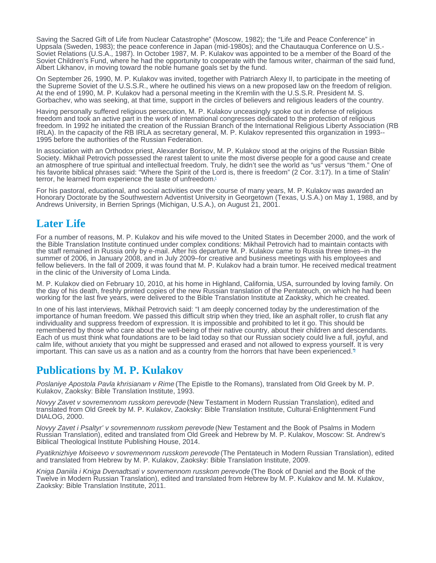<span id="page-2-0"></span>Saving the Sacred Gift of Life from Nuclear Catastrophe" (Moscow, 1982); the "Life and Peace Conference" in Uppsala (Sweden, 1983); the peace conference in Japan (mid-1980s); and the Chautauqua Conference on U.S.- Soviet Relations (U.S.A., 1987). In October 1987, M. P. Kulakov was appointed to be a member of the Board of the Soviet Children's Fund, where he had the opportunity to cooperate with the famous writer, chairman of the said fund, Albert Likhanov, in moving toward the noble humane goals set by the fund.

On September 26, 1990, M. P. Kulakov was invited, together with Patriarch Alexy II, to participate in the meeting of the Supreme Soviet of the U.S.S.R., where he outlined his views on a new proposed law on the freedom of religion. At the end of 1990, M. P. Kulakov had a personal meeting in the Kremlin with the U.S.S.R. President M. S. Gorbachev, who was seeking, at that time, support in the circles of believers and religious leaders of the country.

Having personally suffered religious persecution, M. P. Kulakov unceasingly spoke out in defense of religious freedom and took an active part in the work of international congresses dedicated to the protection of religious freedom. In 1992 he initiated the creation of the Russian Branch of the International Religious Liberty Association (RB IRLA). In the capacity of the RB IRLA as secretary general, M. P. Kulakov represented this organization in 1993-- 1995 before the authorities of the Russian Federation.

In association with an Orthodox priest, Alexander Borisov, M. P. Kulakov stood at the origins of the Russian Bible Society. Mikhail Petrovich possessed the rarest talent to unite the most diverse people for a good cause and create an atmosphere of true spiritual and intellectual freedom. Truly, he didn't see the world as "us" versus "them." One of his favorite biblical phrases said: "Where the Spirit of the Lord is, there is freedom" (2 Cor. 3:17). In a time of Stalin' terror, he learned from experience the taste of unfreedom.[1](#page-3-0)

For his pastoral, educational, and social activities over the course of many years, M. P. Kulakov was awarded an Honorary Doctorate by the Southwestern Adventist University in Georgetown (Texas, U.S.A.) on May 1, 1988, and by Andrews University, in Berrien Springs (Michigan, U.S.A.), on August 21, 2001.

## Later Life

For a number of reasons, M. P. Kulakov and his wife moved to the United States in December 2000, and the work of the Bible Translation Institute continued under complex conditions: Mikhail Petrovich had to maintain contacts with the staff remained in Russia only by e-mail. After his departure M. P. Kulakov came to Russia three times–in the summer of 2006, in January 2008, and in July 2009–for creative and business meetings with his employees and fellow believers. In the fall of 2009, it was found that M. P. Kulakov had a brain tumor. He received medical treatment in the clinic of the University of Loma Linda.

M. P. Kulakov died on February 10, 2010, at his home in Highland, California, USA, surrounded by loving family. On the day of his death, freshly printed copies of the new Russian translation of the Pentateuch, on which he had been working for the last five years, were delivered to the Bible Translation Institute at Zaoksky, which he created.

In one of his last interviews, Mikhail Petrovich said: "I am deeply concerned today by the underestimation of the importance of human freedom. We passed this difficult strip when they tried, like an asphalt roller, to crush flat any individuality and suppress freedom of expression. It is impossible and prohibited to let it go. This should be remembered by those who care about the well-being of their native country, about their children and descendants. Each of us must think what foundations are to be laid today so that our Russian society could live a full, joyful, and calm life, without anxiety that you might be suppressed and erased and not allowed to express yourself. It is very important. This can save us as a nation and as a country from the horrors that have been experienced.<sup>[2](#page-3-0)</sup>

## Publications by M. P. Kulakov

Poslaniye Apostola Pavla khrisianam v Rime (The Epistle to the Romans), translated from Old Greek by M. P. Kulakov, Zaoksky: Bible Translation Institute, 1993.

Novyy Zavet v sovremennom russkom perevode (New Testament in Modern Russian Translation), edited and translated from Old Greek by M. P. Kulakov, Zaoksky: Bible Translation Institute, Cultural-Enlightenment Fund DIALOG, 2000.

Novyy Zavet i Psaltyr' v sovremennom russkom perevode (New Testament and the Book of Psalms in Modern Russian Translation), edited and translated from Old Greek and Hebrew by M. P. Kulakov, Moscow: St. Andrew's Biblical Theological Institute Publishing House, 2014.

Pyatiknizhiye Moiseevo v sovremennom russkom perevode (The Pentateuch in Modern Russian Translation), edited and translated from Hebrew by M. P. Kulakov, Zaoksky: Bible Translation Institute, 2009.

Kniga Daniila i Kniga Dvenadtsati v sovremennom russkom perevode (The Book of Daniel and the Book of the Twelve in Modern Russian Translation), edited and translated from Hebrew by M. P. Kulakov and M. M. Kulakov, Zaoksky: Bible Translation Institute, 2011.